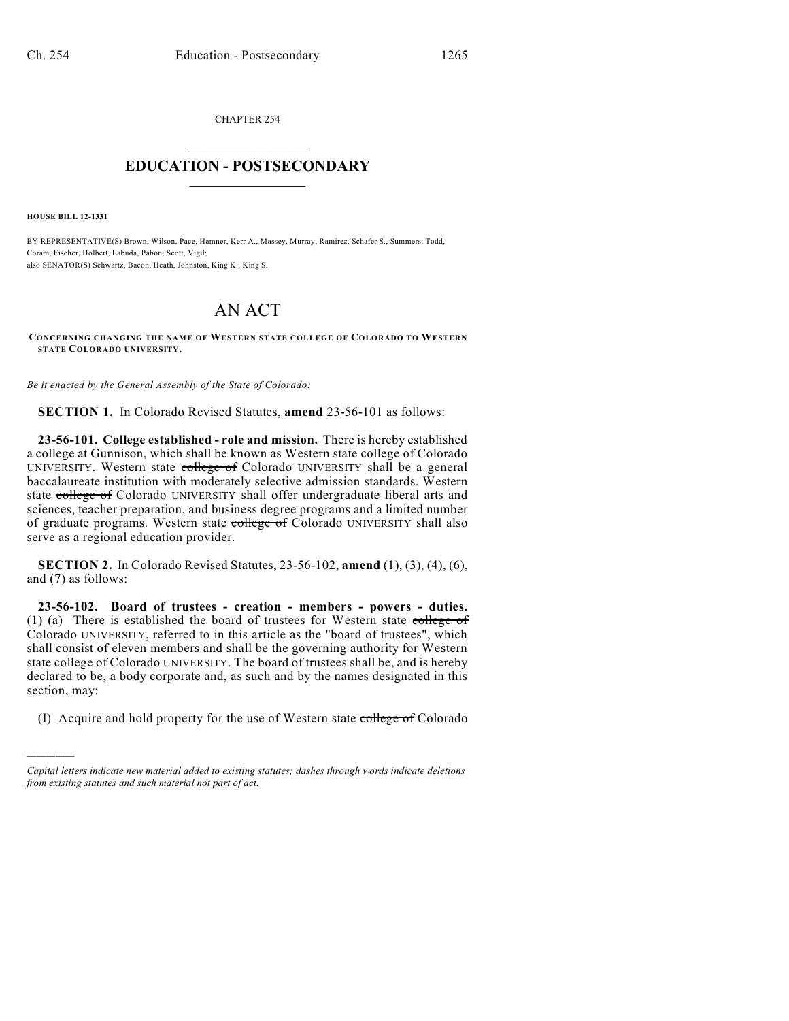CHAPTER 254

## $\overline{\phantom{a}}$  . The set of the set of the set of the set of the set of the set of the set of the set of the set of the set of the set of the set of the set of the set of the set of the set of the set of the set of the set o **EDUCATION - POSTSECONDARY**  $\frac{1}{2}$  ,  $\frac{1}{2}$  ,  $\frac{1}{2}$  ,  $\frac{1}{2}$  ,  $\frac{1}{2}$  ,  $\frac{1}{2}$  ,  $\frac{1}{2}$

**HOUSE BILL 12-1331**

)))))

BY REPRESENTATIVE(S) Brown, Wilson, Pace, Hamner, Kerr A., Massey, Murray, Ramirez, Schafer S., Summers, Todd, Coram, Fischer, Holbert, Labuda, Pabon, Scott, Vigil; also SENATOR(S) Schwartz, Bacon, Heath, Johnston, King K., King S.

## AN ACT

**CONCERNING CHANGING THE NAME OF WESTERN STATE COLLEGE OF COLORADO TO WESTERN STATE COLORADO UNIVERSITY.**

*Be it enacted by the General Assembly of the State of Colorado:*

**SECTION 1.** In Colorado Revised Statutes, **amend** 23-56-101 as follows:

**23-56-101. College established - role and mission.** There is hereby established a college at Gunnison, which shall be known as Western state college of Colorado UNIVERSITY. Western state college of Colorado UNIVERSITY shall be a general baccalaureate institution with moderately selective admission standards. Western state college of Colorado UNIVERSITY shall offer undergraduate liberal arts and sciences, teacher preparation, and business degree programs and a limited number of graduate programs. Western state college of Colorado UNIVERSITY shall also serve as a regional education provider.

**SECTION 2.** In Colorado Revised Statutes, 23-56-102, **amend** (1), (3), (4), (6), and (7) as follows:

**23-56-102. Board of trustees - creation - members - powers - duties.** (1) (a) There is established the board of trustees for Western state  $\frac{1}{2}$ Colorado UNIVERSITY, referred to in this article as the "board of trustees", which shall consist of eleven members and shall be the governing authority for Western state college of Colorado UNIVERSITY. The board of trustees shall be, and is hereby declared to be, a body corporate and, as such and by the names designated in this section, may:

(I) Acquire and hold property for the use of Western state college of Colorado

*Capital letters indicate new material added to existing statutes; dashes through words indicate deletions from existing statutes and such material not part of act.*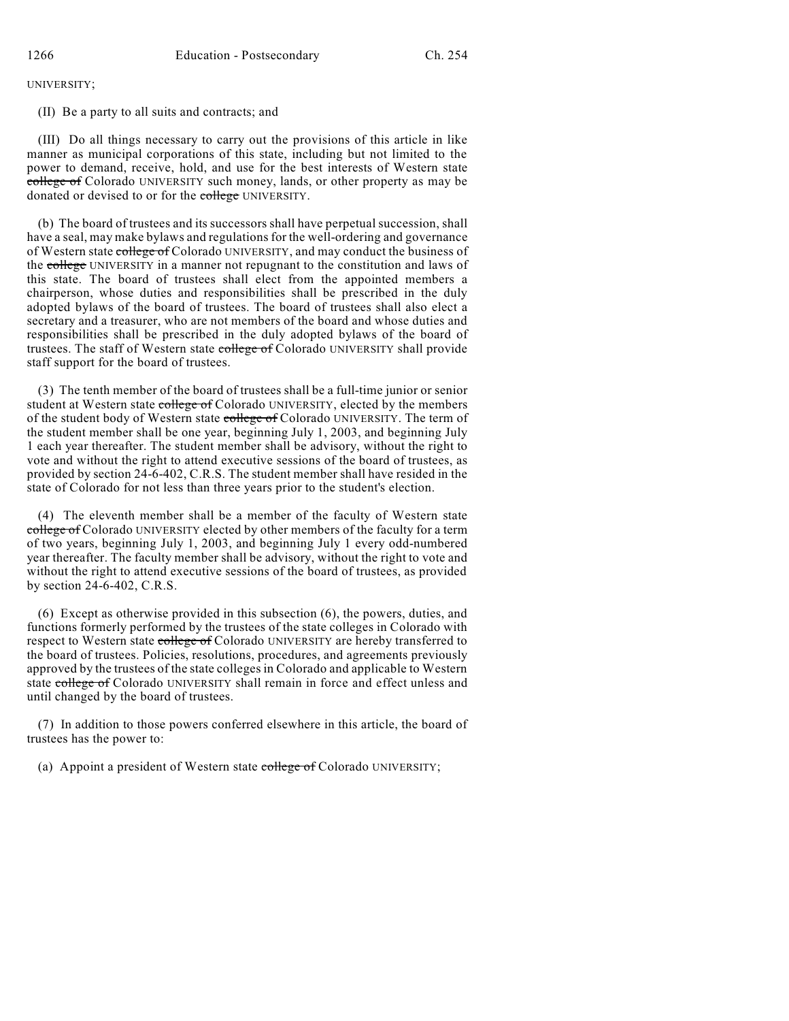UNIVERSITY;

(II) Be a party to all suits and contracts; and

(III) Do all things necessary to carry out the provisions of this article in like manner as municipal corporations of this state, including but not limited to the power to demand, receive, hold, and use for the best interests of Western state college of Colorado UNIVERSITY such money, lands, or other property as may be donated or devised to or for the college UNIVERSITY.

(b) The board of trustees and its successors shall have perpetual succession, shall have a seal, may make bylaws and regulations for the well-ordering and governance of Western state college of Colorado UNIVERSITY, and may conduct the business of the college UNIVERSITY in a manner not repugnant to the constitution and laws of this state. The board of trustees shall elect from the appointed members a chairperson, whose duties and responsibilities shall be prescribed in the duly adopted bylaws of the board of trustees. The board of trustees shall also elect a secretary and a treasurer, who are not members of the board and whose duties and responsibilities shall be prescribed in the duly adopted bylaws of the board of trustees. The staff of Western state college of Colorado UNIVERSITY shall provide staff support for the board of trustees.

(3) The tenth member of the board of trustees shall be a full-time junior or senior student at Western state college of Colorado UNIVERSITY, elected by the members of the student body of Western state college of Colorado UNIVERSITY. The term of the student member shall be one year, beginning July 1, 2003, and beginning July 1 each year thereafter. The student member shall be advisory, without the right to vote and without the right to attend executive sessions of the board of trustees, as provided by section 24-6-402, C.R.S. The student member shall have resided in the state of Colorado for not less than three years prior to the student's election.

(4) The eleventh member shall be a member of the faculty of Western state college of Colorado UNIVERSITY elected by other members of the faculty for a term of two years, beginning July 1, 2003, and beginning July 1 every odd-numbered year thereafter. The faculty member shall be advisory, without the right to vote and without the right to attend executive sessions of the board of trustees, as provided by section 24-6-402, C.R.S.

(6) Except as otherwise provided in this subsection (6), the powers, duties, and functions formerly performed by the trustees of the state colleges in Colorado with respect to Western state college of Colorado UNIVERSITY are hereby transferred to the board of trustees. Policies, resolutions, procedures, and agreements previously approved by the trustees of the state colleges in Colorado and applicable to Western state college of Colorado UNIVERSITY shall remain in force and effect unless and until changed by the board of trustees.

(7) In addition to those powers conferred elsewhere in this article, the board of trustees has the power to:

(a) Appoint a president of Western state college of Colorado UNIVERSITY;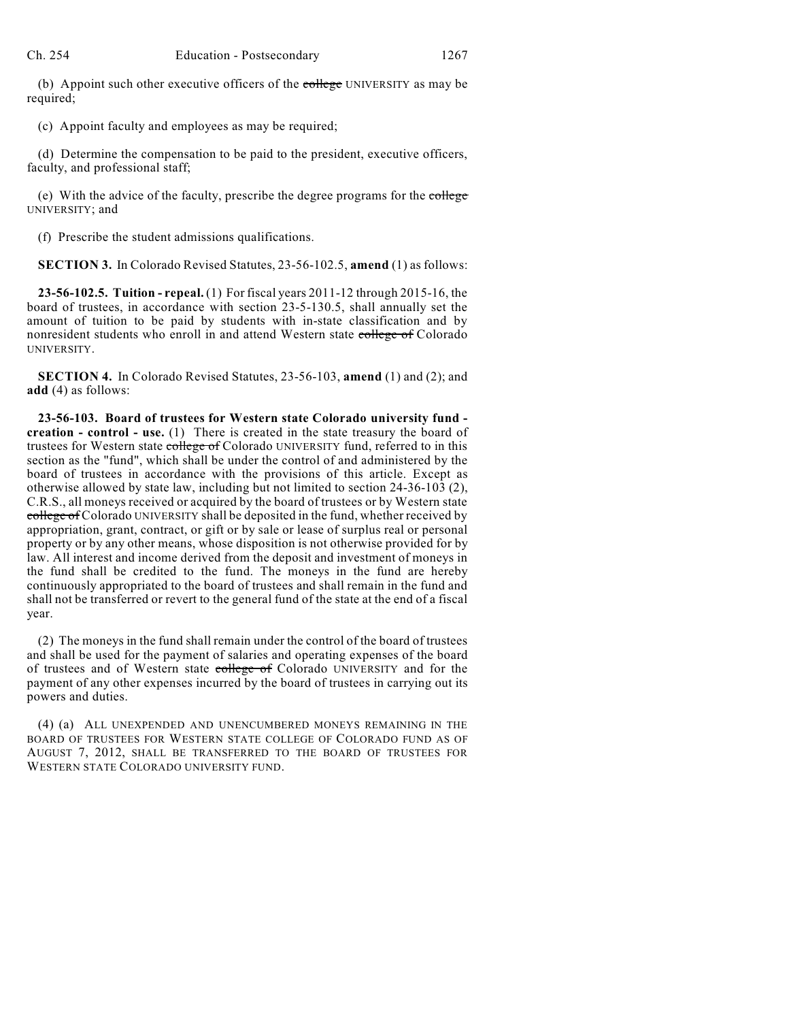(b) Appoint such other executive officers of the college UNIVERSITY as may be required;

(c) Appoint faculty and employees as may be required;

(d) Determine the compensation to be paid to the president, executive officers, faculty, and professional staff;

(e) With the advice of the faculty, prescribe the degree programs for the college UNIVERSITY; and

(f) Prescribe the student admissions qualifications.

**SECTION 3.** In Colorado Revised Statutes, 23-56-102.5, **amend** (1) as follows:

**23-56-102.5. Tuition - repeal.** (1) For fiscal years 2011-12 through 2015-16, the board of trustees, in accordance with section 23-5-130.5, shall annually set the amount of tuition to be paid by students with in-state classification and by nonresident students who enroll in and attend Western state college of Colorado UNIVERSITY.

**SECTION 4.** In Colorado Revised Statutes, 23-56-103, **amend** (1) and (2); and **add** (4) as follows:

**23-56-103. Board of trustees for Western state Colorado university fund creation - control - use.** (1) There is created in the state treasury the board of trustees for Western state college of Colorado UNIVERSITY fund, referred to in this section as the "fund", which shall be under the control of and administered by the board of trustees in accordance with the provisions of this article. Except as otherwise allowed by state law, including but not limited to section 24-36-103 (2), C.R.S., all moneys received or acquired by the board of trustees or by Western state college of Colorado UNIVERSITY shall be deposited in the fund, whether received by appropriation, grant, contract, or gift or by sale or lease of surplus real or personal property or by any other means, whose disposition is not otherwise provided for by law. All interest and income derived from the deposit and investment of moneys in the fund shall be credited to the fund. The moneys in the fund are hereby continuously appropriated to the board of trustees and shall remain in the fund and shall not be transferred or revert to the general fund of the state at the end of a fiscal year.

(2) The moneys in the fund shall remain under the control of the board of trustees and shall be used for the payment of salaries and operating expenses of the board of trustees and of Western state college of Colorado UNIVERSITY and for the payment of any other expenses incurred by the board of trustees in carrying out its powers and duties.

(4) (a) ALL UNEXPENDED AND UNENCUMBERED MONEYS REMAINING IN THE BOARD OF TRUSTEES FOR WESTERN STATE COLLEGE OF COLORADO FUND AS OF AUGUST 7, 2012, SHALL BE TRANSFERRED TO THE BOARD OF TRUSTEES FOR WESTERN STATE COLORADO UNIVERSITY FUND.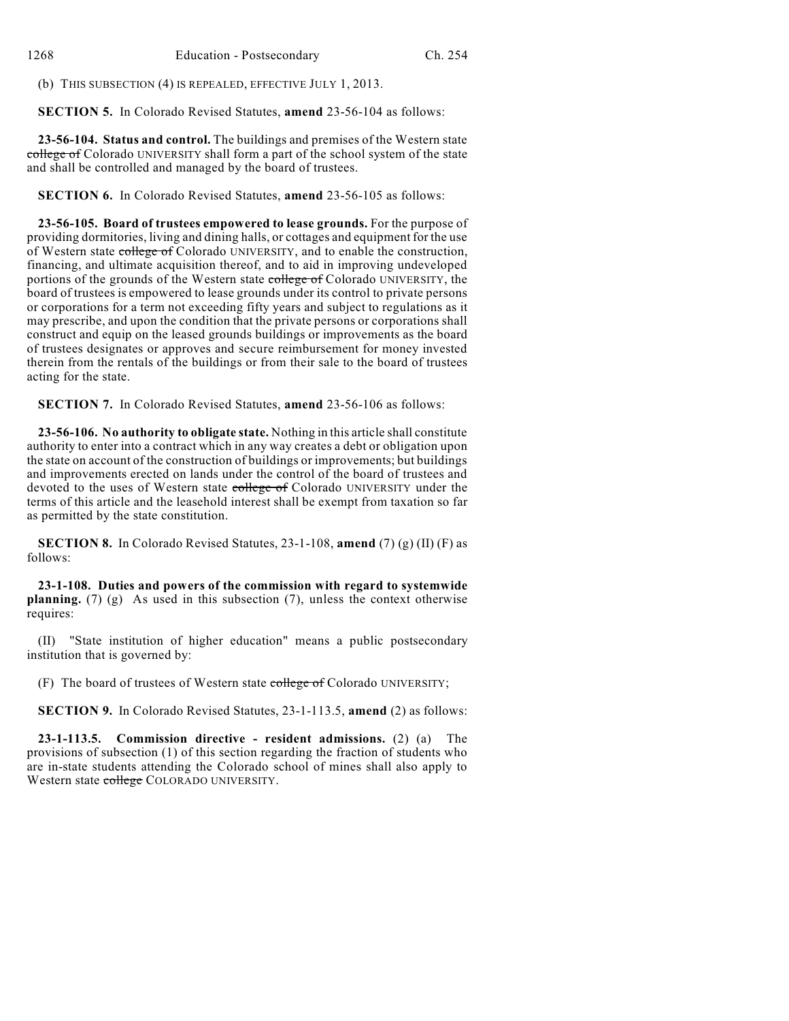(b) THIS SUBSECTION (4) IS REPEALED, EFFECTIVE JULY 1, 2013.

**SECTION 5.** In Colorado Revised Statutes, **amend** 23-56-104 as follows:

**23-56-104. Status and control.** The buildings and premises of the Western state college of Colorado UNIVERSITY shall form a part of the school system of the state and shall be controlled and managed by the board of trustees.

**SECTION 6.** In Colorado Revised Statutes, **amend** 23-56-105 as follows:

**23-56-105. Board of trustees empowered to lease grounds.** For the purpose of providing dormitories, living and dining halls, or cottages and equipment for the use of Western state college of Colorado UNIVERSITY, and to enable the construction, financing, and ultimate acquisition thereof, and to aid in improving undeveloped portions of the grounds of the Western state college of Colorado UNIVERSITY, the board of trustees is empowered to lease grounds under its control to private persons or corporations for a term not exceeding fifty years and subject to regulations as it may prescribe, and upon the condition that the private persons or corporations shall construct and equip on the leased grounds buildings or improvements as the board of trustees designates or approves and secure reimbursement for money invested therein from the rentals of the buildings or from their sale to the board of trustees acting for the state.

**SECTION 7.** In Colorado Revised Statutes, **amend** 23-56-106 as follows:

**23-56-106. No authority to obligate state.** Nothing in this article shall constitute authority to enter into a contract which in any way creates a debt or obligation upon the state on account of the construction of buildings or improvements; but buildings and improvements erected on lands under the control of the board of trustees and devoted to the uses of Western state college of Colorado UNIVERSITY under the terms of this article and the leasehold interest shall be exempt from taxation so far as permitted by the state constitution.

**SECTION 8.** In Colorado Revised Statutes, 23-1-108, **amend** (7) (g) (II) (F) as follows:

**23-1-108. Duties and powers of the commission with regard to systemwide planning.** (7) (g) As used in this subsection (7), unless the context otherwise requires:

(II) "State institution of higher education" means a public postsecondary institution that is governed by:

(F) The board of trustees of Western state college of Colorado UNIVERSITY;

**SECTION 9.** In Colorado Revised Statutes, 23-1-113.5, **amend** (2) as follows:

**23-1-113.5. Commission directive - resident admissions.** (2) (a) The provisions of subsection (1) of this section regarding the fraction of students who are in-state students attending the Colorado school of mines shall also apply to Western state college COLORADO UNIVERSITY.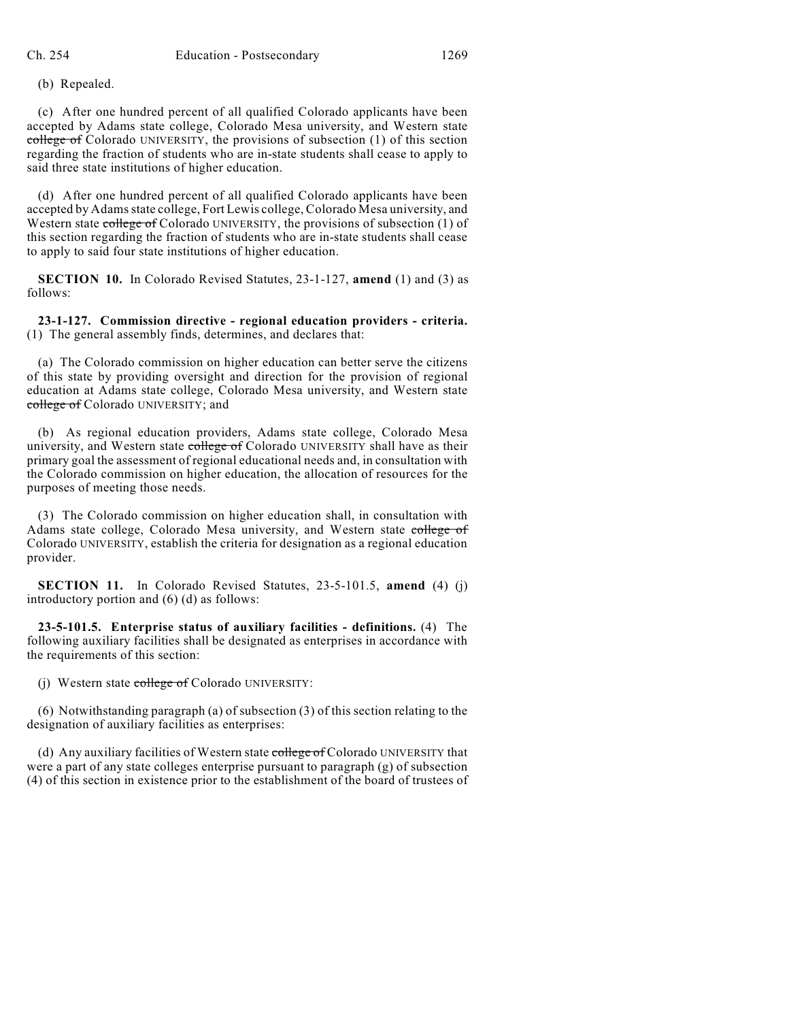(b) Repealed.

(c) After one hundred percent of all qualified Colorado applicants have been accepted by Adams state college, Colorado Mesa university, and Western state college of Colorado UNIVERSITY, the provisions of subsection (1) of this section regarding the fraction of students who are in-state students shall cease to apply to said three state institutions of higher education.

(d) After one hundred percent of all qualified Colorado applicants have been accepted by Adamsstate college, Fort Lewis college, Colorado Mesa university, and Western state college of Colorado UNIVERSITY, the provisions of subsection (1) of this section regarding the fraction of students who are in-state students shall cease to apply to said four state institutions of higher education.

**SECTION 10.** In Colorado Revised Statutes, 23-1-127, **amend** (1) and (3) as follows:

**23-1-127. Commission directive - regional education providers - criteria.** (1) The general assembly finds, determines, and declares that:

(a) The Colorado commission on higher education can better serve the citizens of this state by providing oversight and direction for the provision of regional education at Adams state college, Colorado Mesa university, and Western state college of Colorado UNIVERSITY; and

(b) As regional education providers, Adams state college, Colorado Mesa university, and Western state college of Colorado UNIVERSITY shall have as their primary goal the assessment of regional educational needs and, in consultation with the Colorado commission on higher education, the allocation of resources for the purposes of meeting those needs.

(3) The Colorado commission on higher education shall, in consultation with Adams state college, Colorado Mesa university, and Western state college of Colorado UNIVERSITY, establish the criteria for designation as a regional education provider.

**SECTION 11.** In Colorado Revised Statutes, 23-5-101.5, **amend** (4) (j) introductory portion and (6) (d) as follows:

**23-5-101.5. Enterprise status of auxiliary facilities - definitions.** (4) The following auxiliary facilities shall be designated as enterprises in accordance with the requirements of this section:

(i) Western state  $\frac{1}{2}$  colorado UNIVERSITY:

(6) Notwithstanding paragraph (a) of subsection (3) of this section relating to the designation of auxiliary facilities as enterprises:

(d) Any auxiliary facilities of Western state college of Colorado UNIVERSITY that were a part of any state colleges enterprise pursuant to paragraph (g) of subsection (4) of this section in existence prior to the establishment of the board of trustees of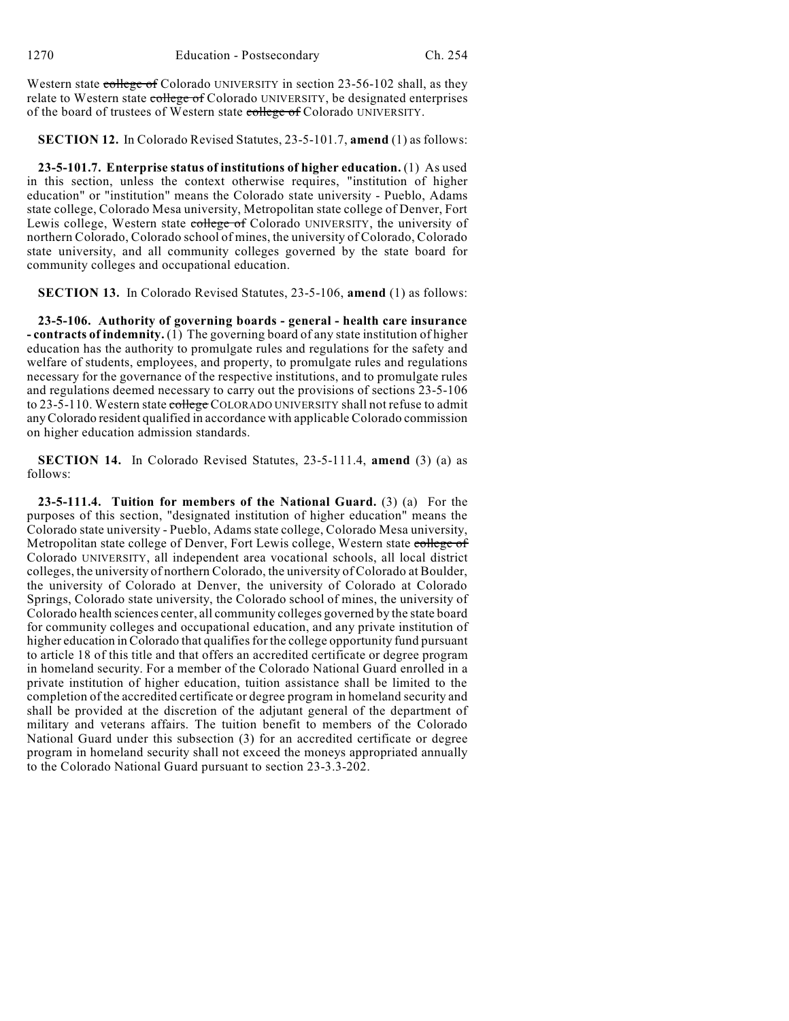Western state college of Colorado UNIVERSITY in section 23-56-102 shall, as they relate to Western state college of Colorado UNIVERSITY, be designated enterprises of the board of trustees of Western state college of Colorado UNIVERSITY.

**SECTION 12.** In Colorado Revised Statutes, 23-5-101.7, **amend** (1) as follows:

**23-5-101.7. Enterprise status of institutions of higher education.** (1) As used in this section, unless the context otherwise requires, "institution of higher education" or "institution" means the Colorado state university - Pueblo, Adams state college, Colorado Mesa university, Metropolitan state college of Denver, Fort Lewis college, Western state college of Colorado UNIVERSITY, the university of northern Colorado, Colorado school of mines, the university of Colorado, Colorado state university, and all community colleges governed by the state board for community colleges and occupational education.

**SECTION 13.** In Colorado Revised Statutes, 23-5-106, **amend** (1) as follows:

**23-5-106. Authority of governing boards - general - health care insurance - contracts of indemnity.** (1) The governing board of any state institution of higher education has the authority to promulgate rules and regulations for the safety and welfare of students, employees, and property, to promulgate rules and regulations necessary for the governance of the respective institutions, and to promulgate rules and regulations deemed necessary to carry out the provisions of sections 23-5-106 to 23-5-110. Western state college COLORADO UNIVERSITY shall not refuse to admit any Colorado resident qualified in accordance with applicable Colorado commission on higher education admission standards.

**SECTION 14.** In Colorado Revised Statutes, 23-5-111.4, **amend** (3) (a) as follows:

**23-5-111.4. Tuition for members of the National Guard.** (3) (a) For the purposes of this section, "designated institution of higher education" means the Colorado state university - Pueblo, Adams state college, Colorado Mesa university, Metropolitan state college of Denver, Fort Lewis college, Western state college of Colorado UNIVERSITY, all independent area vocational schools, all local district colleges, the university of northern Colorado, the university of Colorado at Boulder, the university of Colorado at Denver, the university of Colorado at Colorado Springs, Colorado state university, the Colorado school of mines, the university of Colorado health sciences center, all community colleges governed by the state board for community colleges and occupational education, and any private institution of higher education in Colorado that qualifies for the college opportunity fund pursuant to article 18 of this title and that offers an accredited certificate or degree program in homeland security. For a member of the Colorado National Guard enrolled in a private institution of higher education, tuition assistance shall be limited to the completion of the accredited certificate or degree program in homeland security and shall be provided at the discretion of the adjutant general of the department of military and veterans affairs. The tuition benefit to members of the Colorado National Guard under this subsection (3) for an accredited certificate or degree program in homeland security shall not exceed the moneys appropriated annually to the Colorado National Guard pursuant to section 23-3.3-202.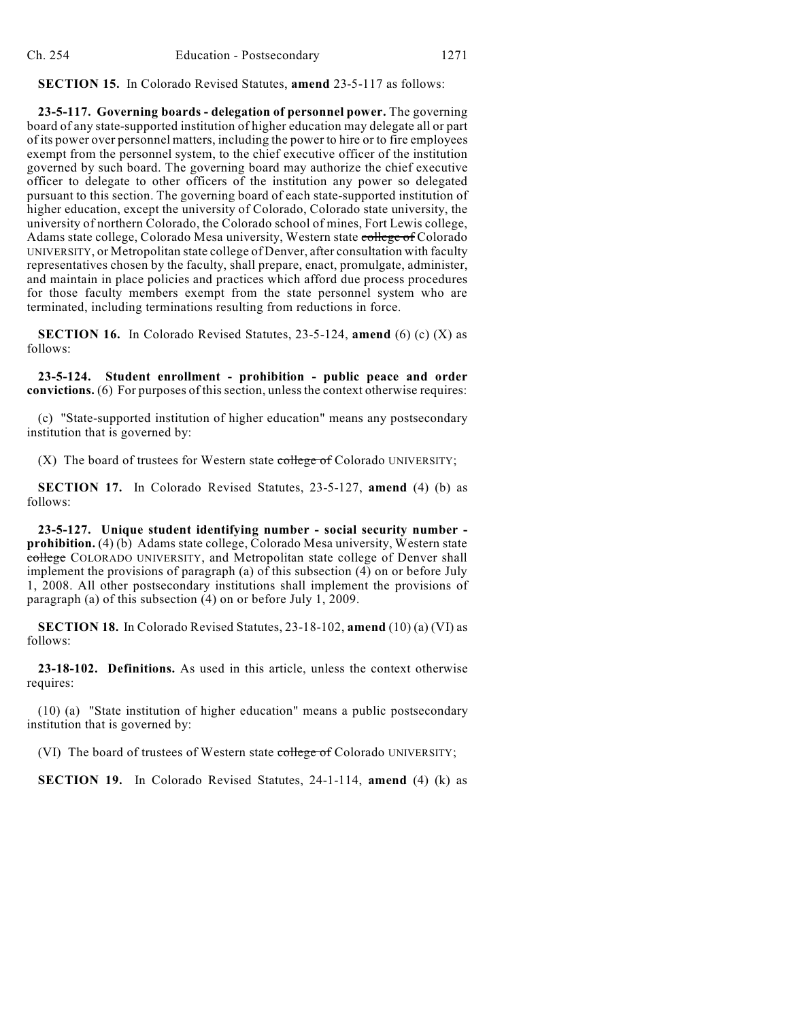**SECTION 15.** In Colorado Revised Statutes, **amend** 23-5-117 as follows:

**23-5-117. Governing boards - delegation of personnel power.** The governing board of any state-supported institution of higher education may delegate all or part of its power over personnel matters, including the power to hire or to fire employees exempt from the personnel system, to the chief executive officer of the institution governed by such board. The governing board may authorize the chief executive officer to delegate to other officers of the institution any power so delegated pursuant to this section. The governing board of each state-supported institution of higher education, except the university of Colorado, Colorado state university, the university of northern Colorado, the Colorado school of mines, Fort Lewis college, Adams state college, Colorado Mesa university, Western state college of Colorado UNIVERSITY, or Metropolitan state college of Denver, after consultation with faculty representatives chosen by the faculty, shall prepare, enact, promulgate, administer, and maintain in place policies and practices which afford due process procedures for those faculty members exempt from the state personnel system who are terminated, including terminations resulting from reductions in force.

**SECTION 16.** In Colorado Revised Statutes, 23-5-124, **amend** (6) (c) (X) as follows:

**23-5-124. Student enrollment - prohibition - public peace and order convictions.** (6) For purposes of this section, unless the context otherwise requires:

(c) "State-supported institution of higher education" means any postsecondary institution that is governed by:

(X) The board of trustees for Western state  $\frac{1}{2}$  colorado UNIVERSITY;

**SECTION 17.** In Colorado Revised Statutes, 23-5-127, **amend** (4) (b) as follows:

**23-5-127. Unique student identifying number - social security number prohibition.** (4) (b) Adams state college, Colorado Mesa university, Western state college COLORADO UNIVERSITY, and Metropolitan state college of Denver shall implement the provisions of paragraph (a) of this subsection (4) on or before July 1, 2008. All other postsecondary institutions shall implement the provisions of paragraph (a) of this subsection (4) on or before July 1, 2009.

**SECTION 18.** In Colorado Revised Statutes, 23-18-102, **amend** (10) (a) (VI) as follows:

**23-18-102. Definitions.** As used in this article, unless the context otherwise requires:

(10) (a) "State institution of higher education" means a public postsecondary institution that is governed by:

(VI) The board of trustees of Western state college of Colorado UNIVERSITY;

**SECTION 19.** In Colorado Revised Statutes, 24-1-114, **amend** (4) (k) as